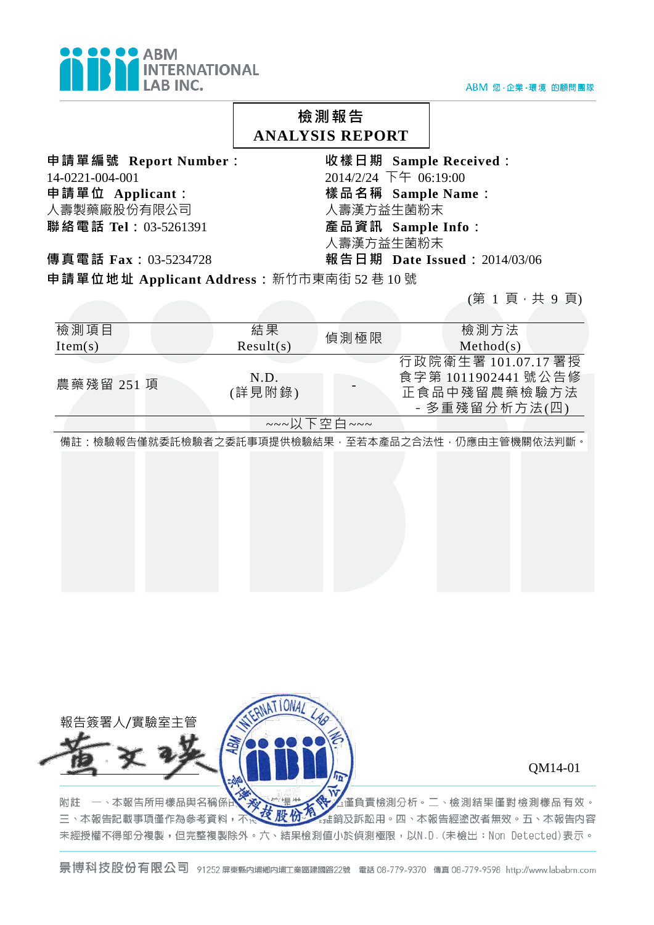

## 檢測報告 **ANALYSIS REPORT**

申請單編號 **Report Number**: 14-0221-004-001 申請單位 **Applicant**: 人壽製藥廠股份有限公司

收樣日期 **Sample Received**: 2014/2/24 下午 06:19:00 樣品名稱 **Sample Name**: 人壽漢方益生菌粉末 聯絡電話 **Tel**:03-5261391 產品資訊 **Sample Info**: 人壽漢方益生菌粉末

傳真電話 **Fax**:03-5234728 報告日期 **Date Issued**:2014/03/06

申請單位地址 **Applicant Address**:新竹市東南街 52 巷 10 號

(第 1 頁 · 共 9 頁)

| 檢測項目<br>Item(s) | 結果<br>Result(s) | 偵測極限       | 檢測方法<br>Method(s)                                                           |
|-----------------|-----------------|------------|-----------------------------------------------------------------------------|
| 農藥殘留 251 項      | N.D.<br>(詳見附錄)  |            | 行政院衛生署 101.07.17 署授<br>食字第 1011902441 號公告修<br>正食品中殘留農藥檢驗方法<br>- 多重殘留分析方法(四) |
|                 |                 | ~~~以下空白~~~ | 備註:檢驗報告僅就委託檢驗者之委託事項提供檢驗結果,至若本產品之合法性,仍應由主管機關依法判斷。                            |
|                 |                 |            |                                                                             |
|                 |                 |            |                                                                             |
|                 |                 |            |                                                                             |
|                 |                 |            |                                                                             |
|                 |                 |            |                                                                             |

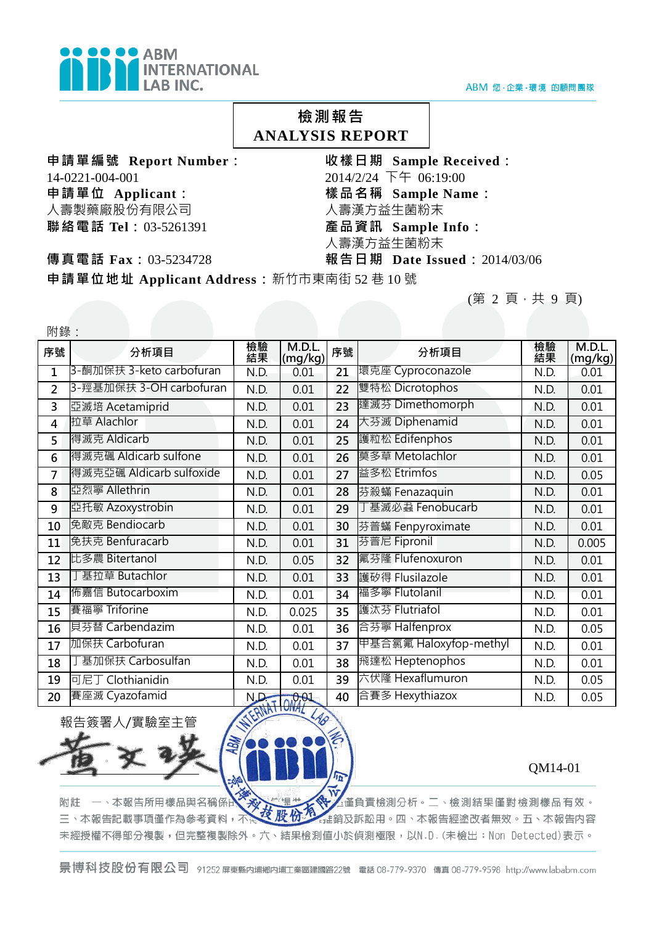

## 檢測報告 **ANALYSIS REPORT**

申請單編號 **Report Number**: 14-0221-004-001 申請單位 **Applicant**: 人壽製藥廠股份有限公司

收樣日期 **Sample Received**: 2014/2/24 下午 06:19:00 樣品名稱 **Sample Name**: 人壽漢方益生菌粉末 聯絡電話 **Tel**:03-5261391 產品資訊 **Sample Info**: 人壽漢方益生菌粉末 傳真電話 **Fax**:03-5234728 報告日期 **Date Issued**:2014/03/06

申請單位地址 **Applicant Address**:新竹市東南街 52 巷 10 號

(第 2 頁,共 9 頁)

附錄:

| 序號             | 分析項目                     | 檢驗<br>結果 | M.D.L.<br>(mg/kg)     | 序號              | 分析項目                   | 檢驗<br>結果 | M.D.L.<br>(mg/kg) |
|----------------|--------------------------|----------|-----------------------|-----------------|------------------------|----------|-------------------|
| 1              | 3-酮加保扶 3-keto carbofuran | N.D.     | 0.01                  | $\overline{21}$ | 環克座 Cyproconazole      | N.D.     | 0.01              |
| $\overline{2}$ | 3-羥基加保扶 3-OH carbofuran  | N.D.     | 0.01                  | 22              | 雙特松 Dicrotophos        | N.D.     | 0.01              |
| 3              | 亞滅培 Acetamiprid          | N.D.     | 0.01                  | 23              | 達滅芬 Dimethomorph       | N.D.     | 0.01              |
| 4              | 拉草 Alachlor              | N.D.     | 0.01                  | 24              | 大芬滅 Diphenamid         | N.D.     | 0.01              |
| 5              | 得滅克 Aldicarb             | N.D.     | 0.01                  | 25              | 護粒松 Edifenphos         | N.D.     | 0.01              |
| 6              | 得滅克碸 Aldicarb sulfone    | N.D.     | 0.01                  | 26              | 莫多草 Metolachlor        | N.D.     | 0.01              |
| 7              | 得滅克亞碸 Aldicarb sulfoxide | N.D.     | 0.01                  | 27              | 益多松 Etrimfos           | N.D.     | 0.05              |
| 8              | 亞烈寧 Allethrin            | N.D.     | 0.01                  | 28              | 芬殺蟎 Fenazaquin         | N.D.     | 0.01              |
| 9              | 亞托敏 Azoxystrobin         | N.D.     | 0.01                  | 29              | 基滅必蝨 Fenobucarb        | N.D.     | 0.01              |
| 10             | 免敵克 Bendiocarb           | N.D.     | 0.01                  | 30              | 芬普蟎 Fenpyroximate      | N.D.     | 0.01              |
| 11             | 免扶克 Benfuracarb          | N.D.     | 0.01                  | 31              | 芬普尼 Fipronil           | N.D.     | 0.005             |
| 12             | 比多農 Bitertanol           | N.D.     | 0.05                  | 32              | 氟芬隆 Flufenoxuron       | N.D.     | 0.01              |
| 13             | 丁基拉草 Butachlor           | N.D.     | 0.01                  | 33              | 護矽得 Flusilazole        | N.D.     | 0.01              |
| 14             | 佈嘉信 Butocarboxim         | N.D.     | 0.01                  | 34              | 福多寧 Flutolanil         | N.D.     | 0.01              |
| 15             | 賽福寧 Triforine            | N.D.     | 0.025                 | 35              | 護汰芬 Flutriafol         | N.D.     | 0.01              |
| 16             | 貝芬替 Carbendazim          | N.D.     | 0.01                  | 36              | 合芬寧 Halfenprox         | N.D.     | 0.05              |
| 17             | 加保扶 Carbofuran           | N.D.     | 0.01                  | 37              | 甲基合氯氟 Haloxyfop-methyl | N.D.     | 0.01              |
| 18             | 丁基加保扶 Carbosulfan        | N.D.     | 0.01                  | 38              | 飛達松 Heptenophos        | N.D.     | 0.01              |
| 19             | 可尼丁 Clothianidin         | N.D.     | 0.01                  | 39              | 六伏隆 Hexaflumuron       | N.D.     | 0.05              |
| 20             | 賽座滅 Cyazofamid           | NAT      | 0.891<br><b>TUITA</b> | 40              | 合賽多 Hexythiazox        | N.D.     | 0.05              |



懂負責檢測分析。二、檢測結果僅對檢測樣品有效。 附註 一、本報告所用樣品與名稱係 三、本報告記載事項僅作為參考資料 **挂銷及訴訟用。四、本報告經塗改者無效。五、本報告内容** 未經授權不得部分複製,但完整複製除外。六、結果檢測值小於偵測極限,以N.D.(未檢出;Non Detected)表示。

景博科技股份有限公司 91252 屏東縣内埔鄉内埔工業區建國路22號 電話 08-779-9370 傳真 08-779-9598 http://www.lababm.com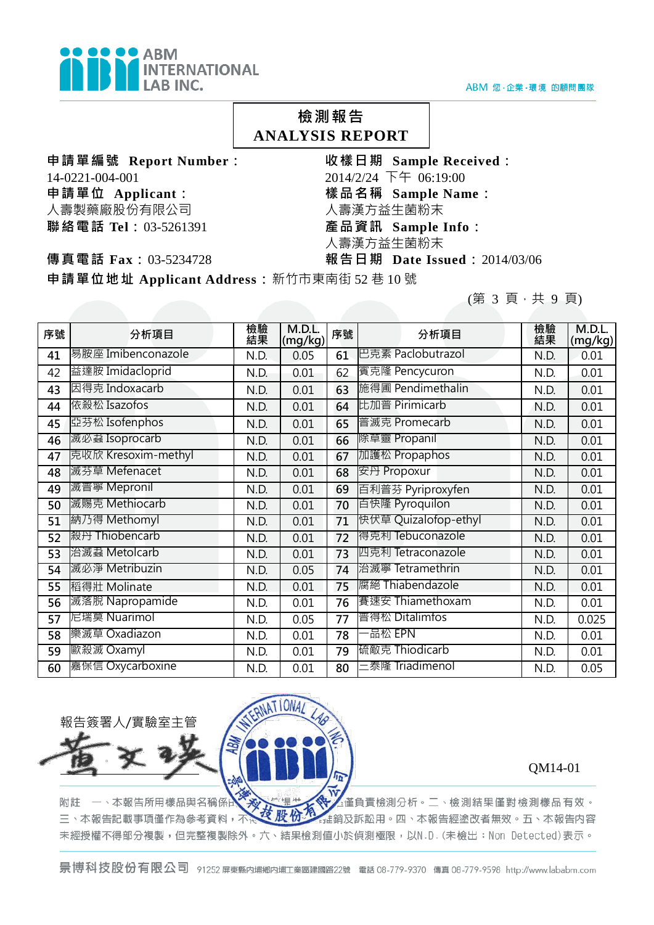

## 檢測報告 **ANALYSIS REPORT**

申請單編號 **Report Number**: 14-0221-004-001 申請單位 **Applicant**: 人壽製藥廠股份有限公司

收樣日期 **Sample Received**: 2014/2/24 下午 06:19:00 樣品名稱 **Sample Name**: 人壽漢方益生菌粉末 聯絡電話 **Tel**:03-5261391 產品資訊 **Sample Info**: 人壽漢方益生菌粉末 傳真電話 **Fax**:03-5234728 報告日期 **Date Issued**:2014/03/06

申請單位地址 **Applicant Address**:新竹市東南街 52 巷 10 號

(第 3 頁,共 9 頁)

| 序號 | 分析項目                | 檢驗<br>結果 | M.D.L.<br>(mg/kg) | 序號 | 分析項目                 | 檢驗<br>結果 | M.D.L.<br>(mg/kg) |
|----|---------------------|----------|-------------------|----|----------------------|----------|-------------------|
| 41 | 易胺座 Imibenconazole  | N.D.     | 0.05              | 61 | 巴克素 Paclobutrazol    | N.D.     | 0.01              |
| 42 | 益達胺 Imidacloprid    | N.D.     | 0.01              | 62 | 賓克隆 Pencycuron       | N.D.     | 0.01              |
| 43 | 因得克 Indoxacarb      | N.D.     | 0.01              | 63 | 施得圃 Pendimethalin    | N.D.     | 0.01              |
| 44 | 依殺松 Isazofos        | N.D.     | 0.01              | 64 | 比加普 Pirimicarb       | N.D.     | 0.01              |
| 45 | 亞芬松 Isofenphos      | N.D.     | 0.01              | 65 | 普滅克 Promecarb        | N.D.     | 0.01              |
| 46 | 滅必蝨 Isoprocarb      | N.D.     | 0.01              | 66 | 除草靈 Propanil         | N.D.     | 0.01              |
| 47 | 克收欣 Kresoxim-methyl | N.D.     | 0.01              | 67 | 加護松 Propaphos        | N.D.     | 0.01              |
| 48 | 滅芬草 Mefenacet       | N.D.     | 0.01              | 68 | 安丹 Propoxur          | N.D.     | 0.01              |
| 49 | 滅普寧 Mepronil        | N.D.     | 0.01              | 69 | 百利普芬 Pyriproxyfen    | N.D.     | 0.01              |
| 50 | 滅賜克 Methiocarb      | N.D.     | 0.01              | 70 | 百快隆 Pyroquilon       | N.D.     | 0.01              |
| 51 | 納乃得 Methomyl        | N.D.     | 0.01              | 71 | 快伏草 Quizalofop-ethyl | N.D.     | 0.01              |
| 52 | 殺丹 Thiobencarb      | N.D.     | 0.01              | 72 | 得克利 Tebuconazole     | N.D.     | 0.01              |
| 53 | 治滅蝨 Metolcarb       | N.D.     | 0.01              | 73 | 四克利 Tetraconazole    | N.D.     | 0.01              |
| 54 | 滅必淨 Metribuzin      | N.D.     | 0.05              | 74 | 治滅寧 Tetramethrin     | N.D.     | 0.01              |
| 55 | 稻得壯 Molinate        | N.D.     | 0.01              | 75 | 腐絕 Thiabendazole     | N.D.     | 0.01              |
| 56 | 滅落脫 Napropamide     | N.D.     | 0.01              | 76 | 賽速安 Thiamethoxam     | N.D.     | 0.01              |
| 57 | 尼瑞莫 Nuarimol        | N.D.     | 0.05              | 77 | 普得松 Ditalimfos       | N.D.     | 0.025             |
| 58 | 樂滅草 Oxadiazon       | N.D.     | 0.01              | 78 | 品松 EPN               | N.D.     | 0.01              |
| 59 | 歐殺滅 Oxamyl          | N.D.     | 0.01              | 79 | 硫敵克 Thiodicarb       | N.D.     | 0.01              |
| 60 | 嘉保信 Oxycarboxine    | N.D.     | 0.01              | 80 | ∃泰隆 Triadimenol      | N.D.     | 0.05              |

 報告簽署人/實驗室主管  $OM14-01$ 

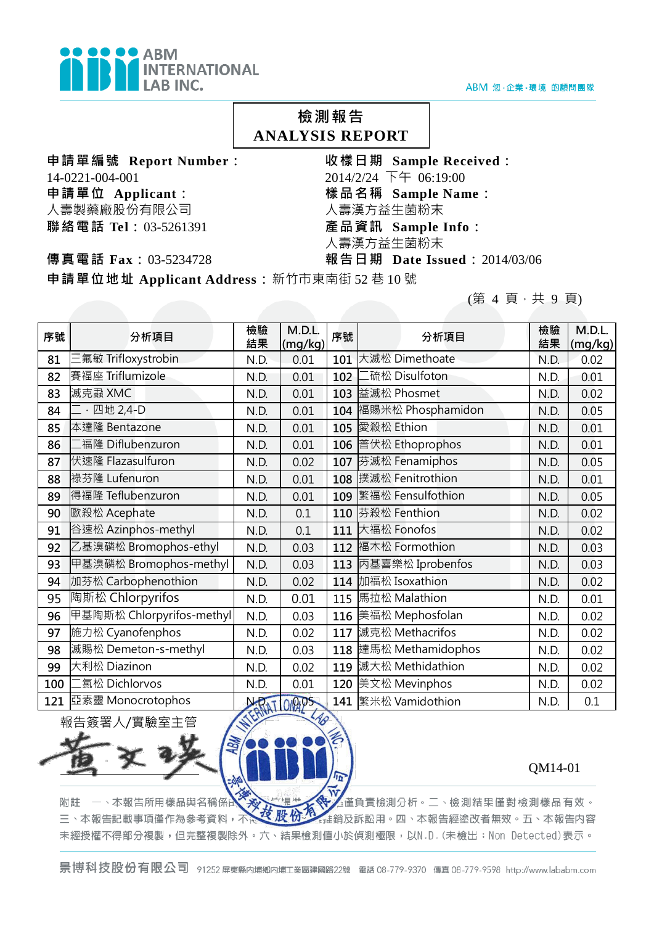

## 檢測報告 **ANALYSIS REPORT**

申請單編號 **Report Number**: 14-0221-004-001 申請單位 **Applicant**: 人壽製藥廠股份有限公司

收樣日期 **Sample Received**: 2014/2/24 下午 06:19:00 樣品名稱 **Sample Name**: 人壽漢方益生菌粉末 聯絡電話 **Tel**:03-5261391 產品資訊 **Sample Info**: 人壽漢方益生菌粉末 傳真電話 **Fax**:03-5234728 報告日期 **Date Issued**:2014/03/06

申請單位地址 **Applicant Address**:新竹市東南街 52 巷 10 號

(第 4 頁 · 共 9 頁)

| 序號  | 分析項目                      | 檢驗<br>結果 | M.D.L.<br>(mg/kg) | 序號  | 分析項目              | 檢驗<br>結果 | M.D.L.<br>(mg/kg) |
|-----|---------------------------|----------|-------------------|-----|-------------------|----------|-------------------|
| 81  | 氟敏 Trifloxystrobin        | N.D.     | 0.01              | 101 | 大滅松 Dimethoate    | N.D.     | 0.02              |
| 82  | 賽福座 Triflumizole          | N.D.     | 0.01              | 102 | 硫松 Disulfoton     | N.D.     | 0.01              |
| 83  | 滅克蝨 XMC                   | N.D.     | 0.01              | 103 | 益滅松 Phosmet       | N.D.     | 0.02              |
| 84  | · 四地 2,4-D                | N.D.     | 0.01              | 104 | 福賜米松 Phosphamidon | N.D.     | 0.05              |
| 85  | 本達隆 Bentazone             | N.D.     | 0.01              | 105 | 愛殺松 Ethion        | N.D.     | 0.01              |
| 86  | 福隆 Diflubenzuron          | N.D.     | 0.01              | 106 | 普伏松 Ethoprophos   | N.D.     | 0.01              |
| 87  | 伏速隆 Flazasulfuron         | N.D.     | 0.02              | 107 | 芬滅松 Fenamiphos    | N.D.     | 0.05              |
| 88  | 祿芬隆 Lufenuron             | N.D.     | 0.01              | 108 | 撲滅松 Fenitrothion  | N.D.     | 0.01              |
| 89  | 得福隆 Teflubenzuron         | N.D.     | 0.01              | 109 | 繁福松 Fensulfothion | N.D.     | 0.05              |
| 90  | 歐殺松 Acephate              | N.D.     | 0.1               | 110 | 芬殺松 Fenthion      | N.D.     | 0.02              |
| 91  | 谷速松 Azinphos-methyl       | N.D.     | 0.1               | 111 | 大福松 Fonofos       | N.D.     | 0.02              |
| 92  | 乙基溴磷松 Bromophos-ethyl     | N.D.     | 0.03              | 112 | 福木松 Formothion    | N.D.     | 0.03              |
| 93  | 甲基溴磷松 Bromophos-methyl    | N.D.     | 0.03              | 113 | 丙基喜樂松 Iprobenfos  | N.D.     | 0.03              |
| 94  | 加芬松 Carbophenothion       | N.D.     | 0.02              | 114 | 加福松 Isoxathion    | N.D.     | 0.02              |
| 95  | 陶斯松 Chlorpyrifos          | N.D.     | 0.01              | 115 | 馬拉松 Malathion     | N.D.     | 0.01              |
| 96  | 甲基陶斯松 Chlorpyrifos-methyl | N.D.     | 0.03              | 116 | 美福松 Mephosfolan   | N.D.     | 0.02              |
| 97  | 施力松 Cyanofenphos          | N.D.     | 0.02              | 117 | 滅克松 Methacrifos   | N.D.     | 0.02              |
| 98  | 滅賜松 Demeton-s-methyl      | N.D.     | 0.03              | 118 | 達馬松 Methamidophos | N.D.     | 0.02              |
| 99  | 大利松 Diazinon              | N.D.     | 0.02              | 119 | 滅大松 Methidathion  | N.D.     | 0.02              |
| 100 | 氯松 Dichlorvos             | N.D.     | 0.01              | 120 | 美文松 Mevinphos     | N.D.     | 0.02              |
| 121 | 亞素靈 Monocrotophos         |          | <b>NRAT 01995</b> | 141 | 繁米松 Vamidothion   | N.D.     | 0.1               |

報告簽署人/實驗室主管

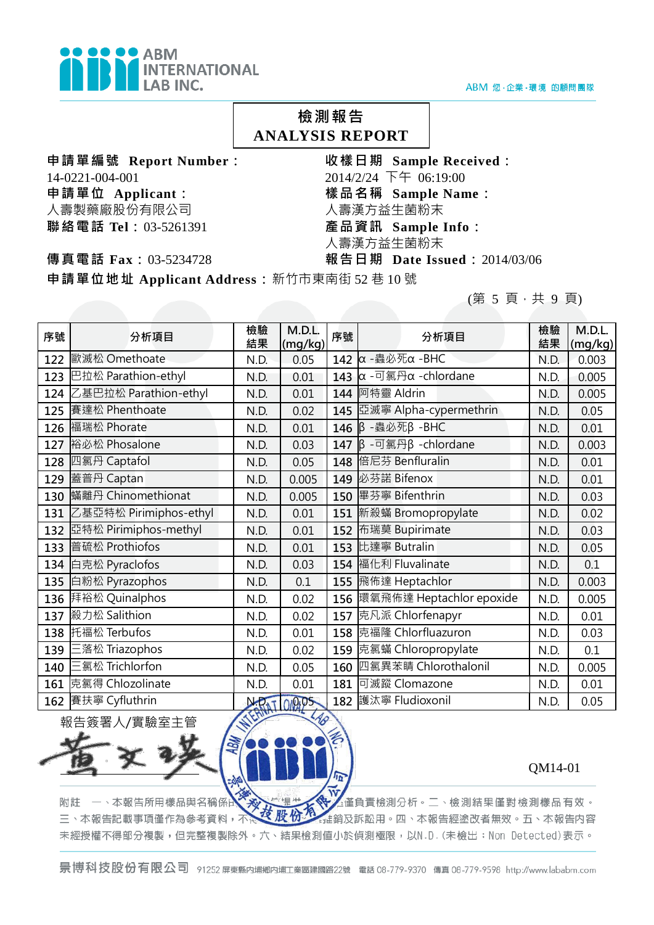

## 檢測報告 **ANALYSIS REPORT**

申請單編號 **Report Number**: 14-0221-004-001 申請單位 **Applicant**: 人壽製藥廠股份有限公司

收樣日期 **Sample Received**: 2014/2/24 下午 06:19:00 樣品名稱 **Sample Name**: 人壽漢方益生菌粉末 聯絡電話 **Tel**:03-5261391 產品資訊 **Sample Info**: 人壽漢方益生菌粉末 傳真電話 **Fax**:03-5234728 報告日期 **Date Issued**:2014/03/06

申請單位地址 **Applicant Address**:新竹市東南街 52 巷 10 號

(第 5 頁,共 9 頁)

| 序號  | 分析項目                   | 檢驗<br>結果 | M.D.L.<br>(mg/kg)   | 序號  | 分析項目                              | 檢驗<br>結果 | M.D.L.<br>(mg/kg) |
|-----|------------------------|----------|---------------------|-----|-----------------------------------|----------|-------------------|
| 122 | 歐滅松 Omethoate          | N.D.     | 0.05                |     | 142 $\alpha$ -蟲必死α -BHC           | N.D.     | 0.003             |
| 123 | 巴拉松 Parathion-ethyl    | N.D.     | 0.01                | 143 | $\alpha$ -可氯丹 $\alpha$ -chlordane | N.D.     | 0.005             |
| 124 | 乙基巴拉松 Parathion-ethyl  | N.D.     | 0.01                | 144 | 阿特靈 Aldrin                        | N.D.     | 0.005             |
| 125 | 賽達松 Phenthoate         | N.D.     | 0.02                | 145 | 亞滅寧 Alpha-cypermethrin            | N.D.     | 0.05              |
| 126 | 福瑞松 Phorate            | N.D.     | 0.01                | 146 | $\beta$ -蟲必死 $\beta$ -BHC         | N.D.     | 0.01              |
| 127 | 裕必松 Phosalone          | N.D.     | 0.03                | 147 | $\beta$ -可氯丹 $\beta$ -chlordane   | N.D.     | 0.003             |
| 128 | 四氯丹 Captafol           | N.D.     | 0.05                | 148 | 倍尼芬 Benfluralin                   | N.D.     | 0.01              |
| 129 | 蓋普丹 Captan             | N.D.     | 0.005               | 149 | 必芬諾 Bifenox                       | N.D.     | 0.01              |
| 130 | 蟎離丹 Chinomethionat     | N.D.     | 0.005               |     | 150 畢芬寧 Bifenthrin                | N.D.     | 0.03              |
| 131 | 乙基亞特松 Pirimiphos-ethyl | N.D.     | 0.01                | 151 | 新殺蟎 Bromopropylate                | N.D.     | 0.02              |
| 132 | 亞特松 Pirimiphos-methyl  | N.D.     | 0.01                | 152 | 布瑞莫 Bupirimate                    | N.D.     | 0.03              |
| 133 | 普硫松 Prothiofos         | N.D.     | 0.01                | 153 | 比達寧 Butralin                      | N.D.     | 0.05              |
| 134 | 白克松 Pyraclofos         | N.D.     | 0.03                | 154 | 福化利 Fluvalinate                   | N.D.     | 0.1               |
| 135 | 白粉松 Pyrazophos         | N.D.     | 0.1                 |     | 155 飛佈達 Heptachlor                | N.D.     | 0.003             |
|     | 136 拜裕松 Quinalphos     | N.D.     | 0.02                |     | 156 環氧飛佈達 Heptachlor epoxide      | N.D.     | 0.005             |
| 137 | 殺力松 Salithion          | N.D.     | 0.02                | 157 | 克凡派 Chlorfenapyr                  | N.D.     | 0.01              |
| 138 | 托福松 Terbufos           | N.D.     | 0.01                |     | 158 克福隆 Chlorfluazuron            | N.D.     | 0.03              |
| 139 | 三落松 Triazophos         | N.D.     | 0.02                | 159 | 克氯蟎 Chloropropylate               | N.D.     | 0.1               |
| 140 | 三氯松 Trichlorfon        | N.D.     | 0.05                | 160 | 四氯異苯睛 Chlorothalonil              | N.D.     | 0.005             |
| 161 | 克氯得 Chlozolinate       | N.D.     | 0.01                | 181 | 可滅蹤 Clomazone                     | N.D.     | 0.01              |
| 162 | 賽扶寧 Cyfluthrin         |          | <b>N-RAT 010:05</b> |     | 182 護汰寧 Fludioxonil               | N.D.     | 0.05              |

報告簽署人/實驗室主管

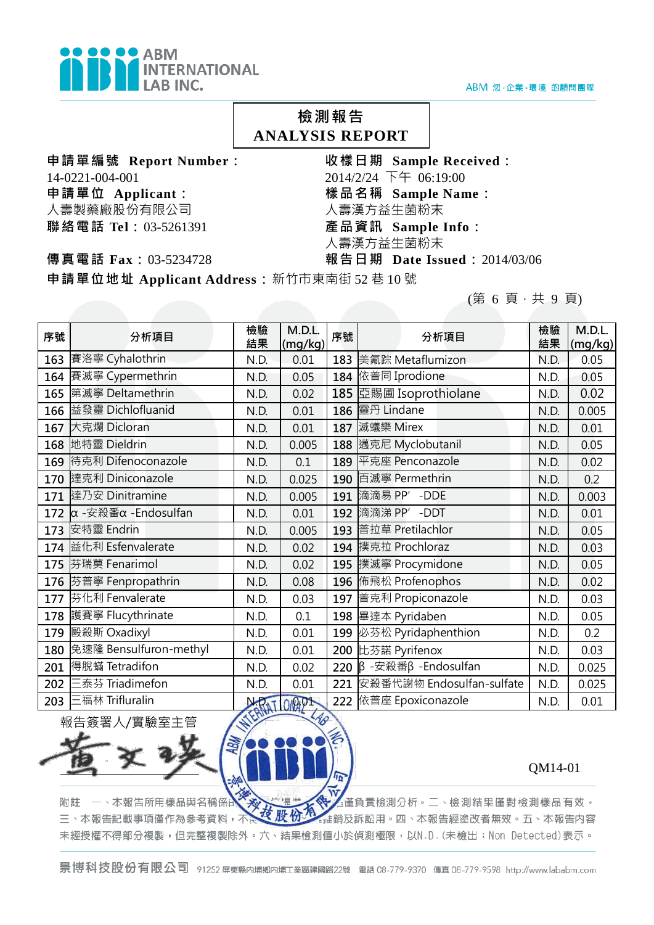

## 檢測報告 **ANALYSIS REPORT**

申請單編號 **Report Number**: 14-0221-004-001 申請單位 **Applicant**: 人壽製藥廠股份有限公司

收樣日期 **Sample Received**: 2014/2/24 下午 06:19:00 樣品名稱 **Sample Name**: 人壽漢方益生菌粉末 聯絡電話 **Tel**:03-5261391 產品資訊 **Sample Info**: 人壽漢方益生菌粉末 傳真電話 **Fax**:03-5234728 報告日期 **Date Issued**:2014/03/06

申請單位地址 **Applicant Address**:新竹市東南街 52 巷 10 號

(第 6 頁 · 共 9 頁)

| 序號  | 分析項目                               | 檢驗<br>結果 | M.D.L.<br>(mg/kg) | 序號  | 分析項目                             | 檢驗<br>結果 | M.D.L.<br>(mg/kg) |
|-----|------------------------------------|----------|-------------------|-----|----------------------------------|----------|-------------------|
| 163 | 賽洛寧 Cyhalothrin                    | N.D.     | 0.01              |     | 183 美氟踪 Metaflumizon             | N.D.     | 0.05              |
| 164 | 賽滅寧 Cypermethrin                   | N.D.     | 0.05              |     | 184 依普同 Iprodione                | N.D.     | 0.05              |
| 165 | 第滅寧 Deltamethrin                   | N.D.     | 0.02              |     | 185 亞賜圃 Isoprothiolane           | N.D.     | 0.02              |
| 166 | 益發靈 Dichlofluanid                  | N.D.     | 0.01              | 186 | 靈丹 Lindane                       | N.D.     | 0.005             |
| 167 | 大克爛 Dicloran                       | N.D.     | 0.01              | 187 | 滅蟻樂 Mirex                        | N.D.     | 0.01              |
| 168 | 地特靈 Dieldrin                       | N.D.     | 0.005             |     | 188 邁克尼 Myclobutanil             | N.D.     | 0.05              |
| 169 | 待克利 Difenoconazole                 | N.D.     | 0.1               | 189 | 平克座 Penconazole                  | N.D.     | 0.02              |
| 170 | 達克利 Diniconazole                   | N.D.     | 0.025             | 190 | 百滅寧 Permethrin                   | N.D.     | 0.2               |
| 171 | 達乃安 Dinitramine                    | N.D.     | 0.005             | 191 | 滴滴易 PP' -DDE                     | N.D.     | 0.003             |
| 172 | $\alpha$ -安殺番 $\alpha$ -Endosulfan | N.D.     | 0.01              | 192 | 滴滴涕 PP' -DDT                     | N.D.     | 0.01              |
| 173 | 安特靈 Endrin                         | N.D.     | 0.005             | 193 | 普拉草 Pretilachlor                 | N.D.     | 0.05              |
|     | 174 益化利 Esfenvalerate              | N.D.     | 0.02              |     | 194 撲克拉 Prochloraz               | N.D.     | 0.03              |
| 175 | 芬瑞莫 Fenarimol                      | N.D.     | 0.02              | 195 | 撲滅寧 Procymidone                  | N.D.     | 0.05              |
| 176 | 芬普寧 Fenpropathrin                  | N.D.     | 0.08              | 196 | 佈飛松 Profenophos                  | N.D.     | 0.02              |
| 177 | 芬化利 Fenvalerate                    | N.D.     | 0.03              |     | 197 普克利 Propiconazole            | N.D.     | 0.03              |
| 178 | 護賽寧 Flucythrinate                  | N.D.     | 0.1               |     | 198 畢達本 Pyridaben                | N.D.     | 0.05              |
| 179 | 毆殺斯 Oxadixyl                       | N.D.     | 0.01              | 199 | 必芬松 Pyridaphenthion              | N.D.     | 0.2               |
| 180 | 免速隆 Bensulfuron-methyl             | N.D.     | 0.01              |     | 200 比芬諾 Pyrifenox                | N.D.     | 0.03              |
| 201 | 得脫蟎 Tetradifon                     | N.D.     | 0.02              | 220 | $\beta$ -安殺番 $\beta$ -Endosulfan | N.D.     | 0.025             |
| 202 | 三泰芬 Triadimefon                    | N.D.     | 0.01              | 221 | 安殺番代謝物 Endosulfan-sulfate        | N.D.     | 0.025             |
| 203 | 三福林 Trifluralin                    |          | N-RAT OIRPL       |     | 222 依普座 Epoxiconazole            | N.D.     | 0.01              |

報告簽署人/實驗室主管



**懂負責檢測分析。二、檢測結果僅對檢測樣品有效。** 附註 一、本報告所用樣品與名稱係 三、本報告記載事項僅作為參考資料 谁銷及訴訟用。四、本報告經塗改者無效。五、本報告内容 末經授權不得部分複製,但完整複製除外。六、結果檢測值小於偵測極限,以N.D.(未檢出;Non Detected)表示。

景博科技股份有限公司 91252 屏東縣内埔鄉内埔工業區建國路22號 電話 08-779-9370 傳真 08-779-9598 http://www.lababm.com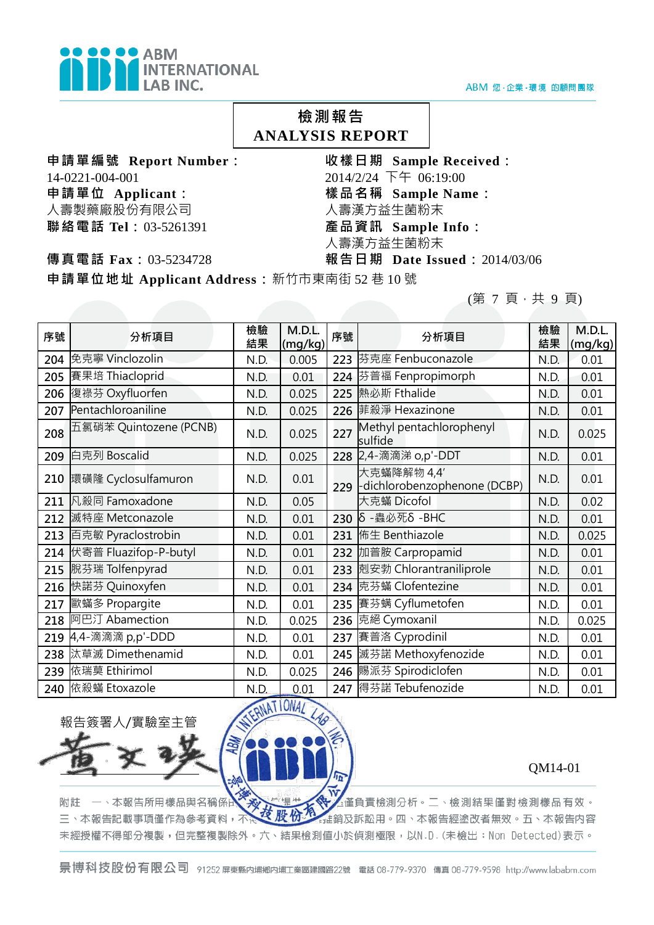

## 檢測報告 **ANALYSIS REPORT**

申請單編號 **Report Number**: 14-0221-004-001 申請單位 **Applicant**: 人壽製藥廠股份有限公司

收樣日期 **Sample Received**: 2014/2/24 下午 06:19:00 樣品名稱 **Sample Name**: 人壽漢方益生菌粉末 聯絡電話 **Tel**:03-5261391 產品資訊 **Sample Info**: 人壽漢方益生菌粉末 傳真電話 **Fax**:03-5234728 報告日期 **Date Issued**:2014/03/06

申請單位地址 **Applicant Address**:新竹市東南街 52 巷 10 號

(第 7 頁,共 9 頁)

| 序號  | 分析項目                   | 檢驗<br>結果 | M.D.L.<br>(mg/kg) | 序號  | 分析項目                                        | 檢驗<br>結果 | M.D.L.<br>(mg/kg) |
|-----|------------------------|----------|-------------------|-----|---------------------------------------------|----------|-------------------|
| 204 | 免克寧 Vinclozolin        | N.D.     | 0.005             | 223 | 芬克座 Fenbuconazole                           | N.D.     | 0.01              |
| 205 | 賽果培 Thiacloprid        | N.D.     | 0.01              |     | 224 芬普福 Fenpropimorph                       | N.D.     | 0.01              |
| 206 | 復祿芬 Oxyfluorfen        | N.D.     | 0.025             | 225 | 熱必斯 Fthalide                                | N.D.     | 0.01              |
| 207 | Pentachloroaniline     | N.D.     | 0.025             |     | 226 菲殺淨 Hexazinone                          | N.D.     | 0.01              |
| 208 | 五氯硝苯 Quintozene (PCNB) | N.D.     | 0.025             | 227 | Methyl pentachlorophenyl<br>sulfide         | N.D.     | 0.025             |
| 209 | 白克列 Boscalid           | N.D.     | 0.025             |     | 228 2,4-滴滴涕 o,p'-DDT                        | N.D.     | 0.01              |
| 210 | 環磺隆 Cyclosulfamuron    | N.D.     | 0.01              | 229 | 大克蟎降解物 4,4'<br>-dichlorobenzophenone (DCBP) | N.D.     | 0.01              |
| 211 | 凡殺同 Famoxadone         | N.D.     | 0.05              |     | 大克蟎 Dicofol                                 | N.D.     | 0.02              |
| 212 | 滅特座 Metconazole        | N.D.     | 0.01              | 230 | δ- 蟲必死δ-BHC                                 | N.D.     | 0.01              |
| 213 | 百克敏 Pyraclostrobin     | N.D.     | 0.01              | 231 | 佈生 Benthiazole                              | N.D.     | 0.025             |
| 214 | 伏寄普 Fluazifop-P-butyl  | N.D.     | 0.01              | 232 | 加普胺 Carpropamid                             | N.D.     | 0.01              |
| 215 | 脱芬瑞 Tolfenpyrad        | N.D.     | 0.01              | 233 | 剋安勃 Chlorantraniliprole                     | N.D.     | 0.01              |
| 216 | 快諾芬 Quinoxyfen         | N.D.     | 0.01              | 234 | 克芬蟎 Clofentezine                            | N.D.     | 0.01              |
| 217 | 歐蟎多 Propargite         | N.D.     | 0.01              | 235 | 賽芬螨 Cyflumetofen                            | N.D.     | 0.01              |
| 218 | 阿巴汀 Abamection         | N.D.     | 0.025             |     | 236 克絕 Cymoxanil                            | N.D.     | 0.025             |
| 219 | 4,4-滴滴滴 p,p'-DDD       | N.D.     | 0.01              | 237 | 賽普洛 Cyprodinil                              | N.D.     | 0.01              |
| 238 | 汰草滅 Dimethenamid       | N.D.     | 0.01              | 245 | 滅芬諾 Methoxyfenozide                         | N.D.     | 0.01              |
| 239 | 依瑞莫 Ethirimol          | N.D.     | 0.025             |     | 246 賜派芬 Spirodiclofen                       | N.D.     | 0.01              |
| 240 | 依殺蟎 Etoxazole          | N.D.     | 0.01              | 247 | 得芬諾 Tebufenozide                            | N.D.     | 0.01              |



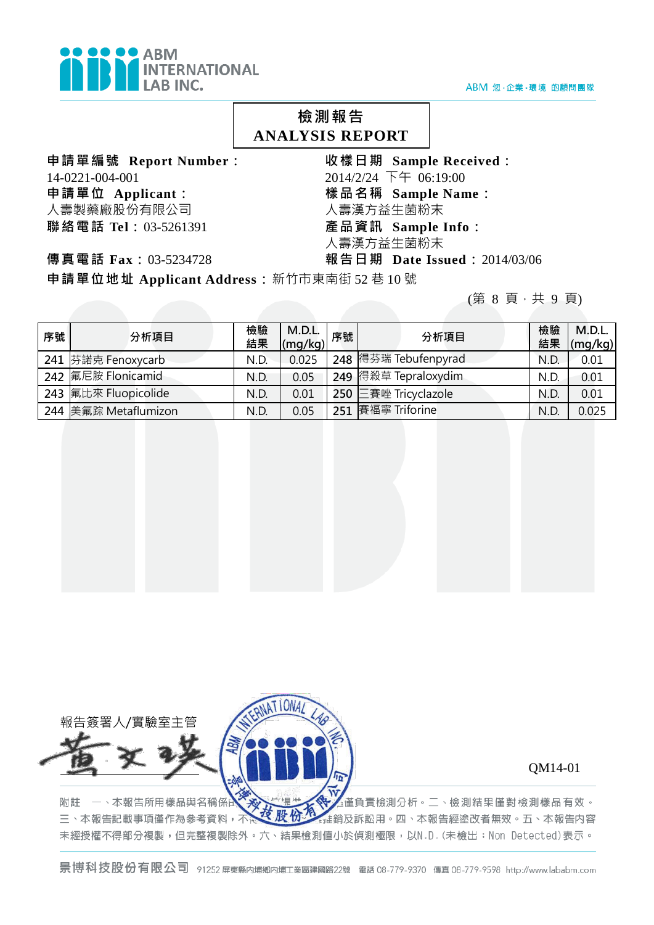

# 檢測報告 **ANALYSIS REPORT**

申請單編號 **Report Number**: 14-0221-004-001 申請單位 **Applicant**: 人壽製藥廠股份有限公司

收樣日期 **Sample Received**: 2014/2/24 下午 06:19:00 樣品名稱 **Sample Name**: 人壽漢方益生菌粉末 聯絡電話 **Tel**:03-5261391 產品資訊 **Sample Info**: 人壽漢方益生菌粉末 傳真電話 **Fax**:03-5234728 報告日期 **Date Issued**:2014/03/06

申請單位地址 **Applicant Address**:新竹市東南街 52 巷 10 號

(第 8 頁,共 9 頁)

| 序號 | 分析項目                 | 檢驗<br>結果 | M.D.L.<br>(mg/kg) | 序號  | 分析項目                 | 檢驗<br>結果 | M.D.L.<br>$\vert$ (mg/kg) $\vert$ |
|----|----------------------|----------|-------------------|-----|----------------------|----------|-----------------------------------|
|    | 241 芬諾克 Fenoxycarb   | N.D.     | 0.025             |     | 248 得芬瑞 Tebufenpyrad | N.D.     | 0.01                              |
|    | 242 氟尼胺 Flonicamid   | N.D.     | 0.05              |     | 249 得殺草 Tepraloxydim | N.D      | 0.01                              |
|    | 243 氟比來 Fluopicolide | N.D.     | 0.01              |     | 250 三賽唑 Tricyclazole | N.D.     | 0.01                              |
|    | 244 美氟踪 Metaflumizon | N.D.     | 0.05              | 251 | 賽福寧 Triforine        | N.D      | 0.025                             |